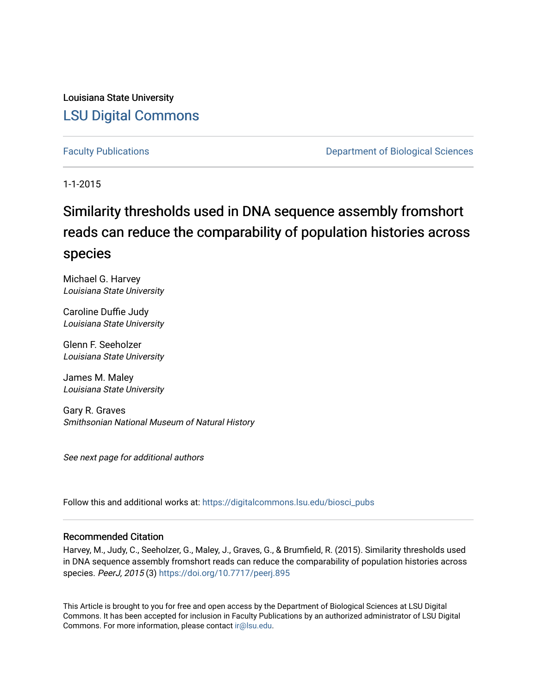Louisiana State University [LSU Digital Commons](https://digitalcommons.lsu.edu/)

[Faculty Publications](https://digitalcommons.lsu.edu/biosci_pubs) **Exercise 2 and Table 2 and Table 2 and Table 2 and Table 2 and Table 2 and Table 2 and Table 2 and Table 2 and Table 2 and Table 2 and Table 2 and Table 2 and Table 2 and Table 2 and Table 2 and Table** 

1-1-2015

# Similarity thresholds used in DNA sequence assembly fromshort reads can reduce the comparability of population histories across species

Michael G. Harvey Louisiana State University

Caroline Duffie Judy Louisiana State University

Glenn F. Seeholzer Louisiana State University

James M. Maley Louisiana State University

Gary R. Graves Smithsonian National Museum of Natural History

See next page for additional authors

Follow this and additional works at: [https://digitalcommons.lsu.edu/biosci\\_pubs](https://digitalcommons.lsu.edu/biosci_pubs?utm_source=digitalcommons.lsu.edu%2Fbiosci_pubs%2F517&utm_medium=PDF&utm_campaign=PDFCoverPages)

#### Recommended Citation

Harvey, M., Judy, C., Seeholzer, G., Maley, J., Graves, G., & Brumfield, R. (2015). Similarity thresholds used in DNA sequence assembly fromshort reads can reduce the comparability of population histories across species. PeerJ, 2015 (3)<https://doi.org/10.7717/peerj.895>

This Article is brought to you for free and open access by the Department of Biological Sciences at LSU Digital Commons. It has been accepted for inclusion in Faculty Publications by an authorized administrator of LSU Digital Commons. For more information, please contact [ir@lsu.edu](mailto:ir@lsu.edu).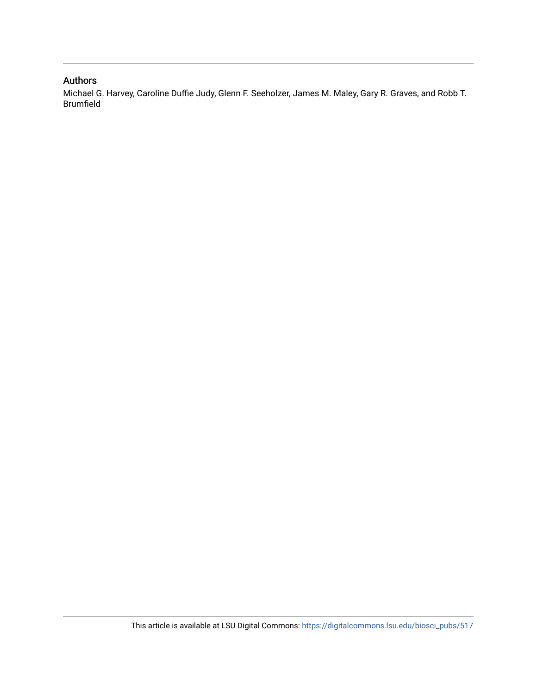#### Authors

Michael G. Harvey, Caroline Duffie Judy, Glenn F. Seeholzer, James M. Maley, Gary R. Graves, and Robb T. Brumfield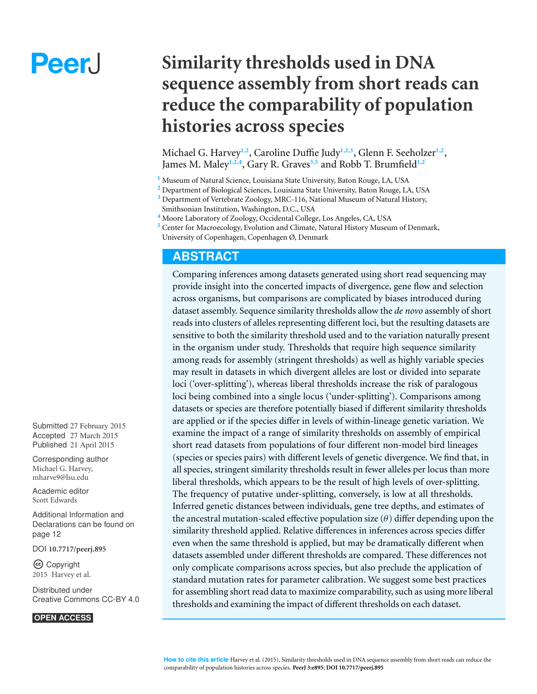# **PeerJ**

# **Similarity thresholds used in DNA sequence assembly from short reads can reduce the comparability of population histories across species**

Michael G. Harvey<sup>1,2</sup>, Caroline Duffie Judy<sup>1,2,3</sup>, Glenn F. Seeholzer<sup>1,2</sup>, James M. Maley**1,2,4** , Gary R. Graves**3,5** and Robb T. Brumfield**1,2**

**<sup>1</sup>** Museum of Natural Science, Louisiana State University, Baton Rouge, LA, USA

**<sup>2</sup>** Department of Biological Sciences, Louisiana State University, Baton Rouge, LA, USA

**<sup>3</sup>** Department of Vertebrate Zoology, MRC-116, National Museum of Natural History,

**<sup>4</sup>** Moore Laboratory of Zoology, Occidental College, Los Angeles, CA, USA

**<sup>5</sup>** Center for Macroecology, Evolution and Climate, Natural History Museum of Denmark,

University of Copenhagen, Copenhagen Ø, Denmark

# **ABSTRACT**

Comparing inferences among datasets generated using short read sequencing may provide insight into the concerted impacts of divergence, gene flow and selection across organisms, but comparisons are complicated by biases introduced during dataset assembly. Sequence similarity thresholds allow the *de novo* assembly of short reads into clusters of alleles representing different loci, but the resulting datasets are sensitive to both the similarity threshold used and to the variation naturally present in the organism under study. Thresholds that require high sequence similarity among reads for assembly (stringent thresholds) as well as highly variable species may result in datasets in which divergent alleles are lost or divided into separate loci ('over-splitting'), whereas liberal thresholds increase the risk of paralogous loci being combined into a single locus ('under-splitting'). Comparisons among datasets or species are therefore potentially biased if different similarity thresholds are applied or if the species differ in levels of within-lineage genetic variation. We examine the impact of a range of similarity thresholds on assembly of empirical short read datasets from populations of four different non-model bird lineages (species or species pairs) with different levels of genetic divergence. We find that, in all species, stringent similarity thresholds result in fewer alleles per locus than more liberal thresholds, which appears to be the result of high levels of over-splitting. The frequency of putative under-splitting, conversely, is low at all thresholds. Inferred genetic distances between individuals, gene tree depths, and estimates of the ancestral mutation-scaled effective population size  $(\theta)$  differ depending upon the similarity threshold applied. Relative differences in inferences across species differ even when the same threshold is applied, but may be dramatically different when datasets assembled under different thresholds are compared. These differences not only complicate comparisons across species, but also preclude the application of standard mutation rates for parameter calibration. We suggest some best practices for assembling short read data to maximize comparability, such as using more liberal thresholds and examining the impact of different thresholds on each dataset.

Submitted 27 February 2015 Accepted 27 March 2015 Published 21 April 2015

Corresponding author Michael G. Harvey, [mharve9@lsu.edu](mailto:mharve9@lsu.edu)

[Academic editor](https://peerj.com/academic-boards/editors/) [Scott Edwards](https://peerj.com/academic-boards/editors/)

[Additional Information and](#page-13-0) [Declarations can be found on](#page-13-0) [page 12](#page-13-0)

[DOI](http://dx.doi.org/10.7717/peerj.895) **[10.7717/peerj.895](http://dx.doi.org/10.7717/peerj.895)**

Copyright 2015 Harvey et al.

[Distributed under](http://creativecommons.org/licenses/by/4.0/) [Creative Commons CC-BY 4.0](http://creativecommons.org/licenses/by/4.0/)

**OPEN ACCESS**

Smithsonian Institution, Washington, D.C., USA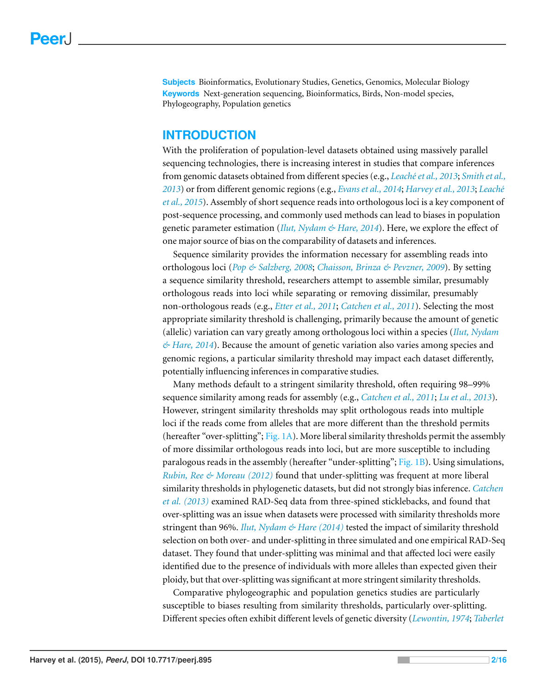**Subjects** Bioinformatics, Evolutionary Studies, Genetics, Genomics, Molecular Biology **Keywords** Next-generation sequencing, Bioinformatics, Birds, Non-model species, Phylogeography, Population genetics

# **INTRODUCTION**

With the proliferation of population-level datasets obtained using massively parallel sequencing technologies, there is increasing interest in studies that compare inferences from genomic datasets obtained from different species (e.g., *[Leach´eet](#page-16-0) [al.,](#page-16-0) [2013](#page-16-0)*; *[Smith](#page-17-0) [et](#page-17-0) [al.,](#page-17-0) [2013](#page-17-0)*) or from different genomic regions (e.g., *[Evans](#page-15-0) [et](#page-15-0) [al.,](#page-15-0) [2014](#page-15-0)*; *[Harvey](#page-15-1) [et](#page-15-1) [al.,](#page-15-1) [2013](#page-15-1)*; *[Leach´e](#page-16-1) [et](#page-16-1) [al.,](#page-16-1) [2015](#page-16-1)*). Assembly of short sequence reads into orthologous loci is a key component of post-sequence processing, and commonly used methods can lead to biases in population genetic parameter estimation (*[Ilut,](#page-16-2) [Nydam](#page-16-2) [&](#page-16-2) [Hare,](#page-16-2) [2014](#page-16-2)*). Here, we explore the effect of one major source of bias on the comparability of datasets and inferences.

Sequence similarity provides the information necessary for assembling reads into orthologous loci (*[Pop](#page-16-3) [&](#page-16-3) [Salzberg,](#page-16-3) [2008](#page-16-3)*; *[Chaisson,](#page-14-0) [Brinza](#page-14-0) [&](#page-14-0) [Pevzner,](#page-14-0) [2009](#page-14-0)*). By setting a sequence similarity threshold, researchers attempt to assemble similar, presumably orthologous reads into loci while separating or removing dissimilar, presumably non-orthologous reads (e.g., *[Etter](#page-14-1) [et](#page-14-1) [al.,](#page-14-1) [2011](#page-14-1)*; *[Catchen](#page-14-2) [et](#page-14-2) [al.,](#page-14-2) [2011](#page-14-2)*). Selecting the most appropriate similarity threshold is challenging, primarily because the amount of genetic (allelic) variation can vary greatly among orthologous loci within a species (*[Ilut,](#page-16-2) [Nydam](#page-16-2) [&](#page-16-2) [Hare,](#page-16-2) [2014](#page-16-2)*). Because the amount of genetic variation also varies among species and genomic regions, a particular similarity threshold may impact each dataset differently, potentially influencing inferences in comparative studies.

Many methods default to a stringent similarity threshold, often requiring 98–99% sequence similarity among reads for assembly (e.g., *[Catchen](#page-14-2) [et](#page-14-2) [al.,](#page-14-2) [2011](#page-14-2)*; *[Lu](#page-16-4) [et](#page-16-4) [al.,](#page-16-4) [2013](#page-16-4)*). However, stringent similarity thresholds may split orthologous reads into multiple loci if the reads come from alleles that are more different than the threshold permits (hereafter "over-splitting"; [Fig. 1A\)](#page-4-0). More liberal similarity thresholds permit the assembly of more dissimilar orthologous reads into loci, but are more susceptible to including paralogous reads in the assembly (hereafter "under-splitting"; [Fig. 1B\)](#page-4-0). Using simulations, *[Rubin,](#page-17-1) [Ree](#page-17-1) [&](#page-17-1) [Moreau](#page-17-1) [\(2012\)](#page-17-1)* found that under-splitting was frequent at more liberal similarity thresholds in phylogenetic datasets, but did not strongly bias inference. *[Catchen](#page-14-3) [et](#page-14-3) [al.](#page-14-3) [\(2013\)](#page-14-3)* examined RAD-Seq data from three-spined sticklebacks, and found that over-splitting was an issue when datasets were processed with similarity thresholds more stringent than 96%. *[Ilut,](#page-16-2) [Nydam](#page-16-2) [&](#page-16-2) [Hare](#page-16-2) [\(2014\)](#page-16-2)* tested the impact of similarity threshold selection on both over- and under-splitting in three simulated and one empirical RAD-Seq dataset. They found that under-splitting was minimal and that affected loci were easily identified due to the presence of individuals with more alleles than expected given their ploidy, but that over-splitting was significant at more stringent similarity thresholds.

Comparative phylogeographic and population genetics studies are particularly susceptible to biases resulting from similarity thresholds, particularly over-splitting. Different species often exhibit different levels of genetic diversity (*[Lewontin,](#page-16-5) [1974](#page-16-5)*; *[Taberlet](#page-17-2)*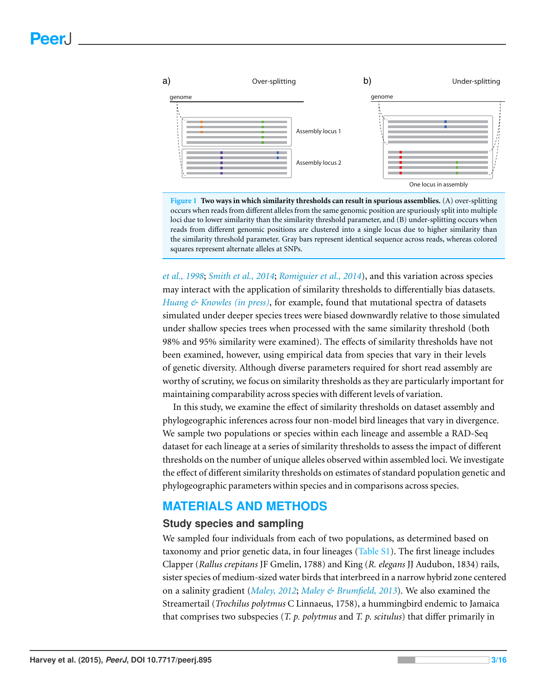<span id="page-4-0"></span>

**Figure 1 Two ways in which similarity thresholds can result in spurious assemblies.** (A) over-splitting occurs when reads from different alleles from the same genomic position are spuriously split into multiple loci due to lower similarity than the similarity threshold parameter, and (B) under-splitting occurs when reads from different genomic positions are clustered into a single locus due to higher similarity than the similarity threshold parameter. Gray bars represent identical sequence across reads, whereas colored squares represent alternate alleles at SNPs.

*[et](#page-17-2) [al.,](#page-17-2) [1998](#page-17-2)*; *[Smith](#page-17-3) [et](#page-17-3) [al.,](#page-17-3) [2014](#page-17-3)*; *[Romiguier](#page-17-4) [et](#page-17-4) [al.,](#page-17-4) [2014](#page-17-4)*), and this variation across species may interact with the application of similarity thresholds to differentially bias datasets. *[Huang](#page-15-2) [&](#page-15-2) [Knowles](#page-15-2) [\(in](#page-15-2) [press\)](#page-15-2)*, for example, found that mutational spectra of datasets simulated under deeper species trees were biased downwardly relative to those simulated under shallow species trees when processed with the same similarity threshold (both 98% and 95% similarity were examined). The effects of similarity thresholds have not been examined, however, using empirical data from species that vary in their levels of genetic diversity. Although diverse parameters required for short read assembly are worthy of scrutiny, we focus on similarity thresholds as they are particularly important for maintaining comparability across species with different levels of variation.

In this study, we examine the effect of similarity thresholds on dataset assembly and phylogeographic inferences across four non-model bird lineages that vary in divergence. We sample two populations or species within each lineage and assemble a RAD-Seq dataset for each lineage at a series of similarity thresholds to assess the impact of different thresholds on the number of unique alleles observed within assembled loci. We investigate the effect of different similarity thresholds on estimates of standard population genetic and phylogeographic parameters within species and in comparisons across species.

# **MATERIALS AND METHODS**

#### **Study species and sampling**

We sampled four individuals from each of two populations, as determined based on taxonomy and prior genetic data, in four lineages [\(Table](http://dx.doi.org/10.7717/peerj.895/supp-5) [S1\)](http://dx.doi.org/10.7717/peerj.895/supp-5). The first lineage includes Clapper (*Rallus crepitans* JF Gmelin, 1788) and King (*R. elegans* JJ Audubon, 1834) rails, sister species of medium-sized water birds that interbreed in a narrow hybrid zone centered on a salinity gradient (*[Maley,](#page-16-6) [2012](#page-16-6)*; *[Maley](#page-16-7) [&](#page-16-7) [Brumfield,](#page-16-7) [2013](#page-16-7)*). We also examined the Streamertail (*Trochilus polytmus* C Linnaeus, 1758), a hummingbird endemic to Jamaica that comprises two subspecies (*T. p. polytmus* and *T. p. scitulus*) that differ primarily in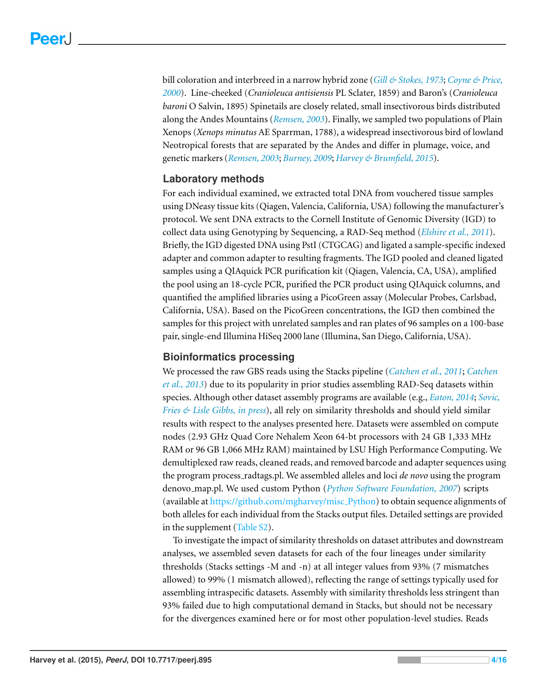bill coloration and interbreed in a narrow hybrid zone (*[Gill](#page-15-3) [&](#page-15-3) [Stokes,](#page-15-3) [1973](#page-15-3)*; *[Coyne](#page-14-4) [&](#page-14-4) [Price,](#page-14-4) [2000](#page-14-4)*). Line-cheeked (*Cranioleuca antisiensis* PL Sclater, 1859) and Baron's (*Cranioleuca baroni* O Salvin, 1895) Spinetails are closely related, small insectivorous birds distributed along the Andes Mountains (*[Remsen,](#page-16-8) [2003](#page-16-8)*). Finally, we sampled two populations of Plain Xenops (*Xenops minutus* AE Sparrman, 1788), a widespread insectivorous bird of lowland Neotropical forests that are separated by the Andes and differ in plumage, voice, and genetic markers (*[Remsen,](#page-16-8) [2003](#page-16-8)*; *[Burney,](#page-14-5) [2009](#page-14-5)*; *[Harvey](#page-15-4) [&](#page-15-4) [Brumfield,](#page-15-4) [2015](#page-15-4)*).

# **Laboratory methods**

For each individual examined, we extracted total DNA from vouchered tissue samples using DNeasy tissue kits (Qiagen, Valencia, California, USA) following the manufacturer's protocol. We sent DNA extracts to the Cornell Institute of Genomic Diversity (IGD) to collect data using Genotyping by Sequencing, a RAD-Seq method (*[Elshire](#page-14-6) [et](#page-14-6) [al.,](#page-14-6) [2011](#page-14-6)*). Briefly, the IGD digested DNA using PstI (CTGCAG) and ligated a sample-specific indexed adapter and common adapter to resulting fragments. The IGD pooled and cleaned ligated samples using a QIAquick PCR purification kit (Qiagen, Valencia, CA, USA), amplified the pool using an 18-cycle PCR, purified the PCR product using QIAquick columns, and quantified the amplified libraries using a PicoGreen assay (Molecular Probes, Carlsbad, California, USA). Based on the PicoGreen concentrations, the IGD then combined the samples for this project with unrelated samples and ran plates of 96 samples on a 100-base pair, single-end Illumina HiSeq 2000 lane (Illumina, San Diego, California, USA).

#### **Bioinformatics processing**

We processed the raw GBS reads using the Stacks pipeline (*[Catchen](#page-14-2) [et](#page-14-2) [al.,](#page-14-2) [2011](#page-14-2)*; *[Catchen](#page-14-3) [et](#page-14-3) [al.,](#page-14-3) [2013](#page-14-3)*) due to its popularity in prior studies assembling RAD-Seq datasets within species. Although other dataset assembly programs are available (e.g., *[Eaton,](#page-14-7) [2014](#page-14-7)*; *[Sovic,](#page-17-5) [Fries](#page-17-5) [&](#page-17-5) [Lisle](#page-17-5) [Gibbs,](#page-17-5) [in](#page-17-5) [press](#page-17-5)*), all rely on similarity thresholds and should yield similar results with respect to the analyses presented here. Datasets were assembled on compute nodes (2.93 GHz Quad Core Nehalem Xeon 64-bt processors with 24 GB 1,333 MHz RAM or 96 GB 1,066 MHz RAM) maintained by LSU High Performance Computing. We demultiplexed raw reads, cleaned reads, and removed barcode and adapter sequences using the program process radtags.pl. We assembled alleles and loci *de novo* using the program denovo map.pl. We used custom Python (*[Python](#page-16-9) [Software](#page-16-9) [Foundation,](#page-16-9) [2007](#page-16-9)*) scripts (available at [https://github.com/mgharvey/misc](https://github.com/mgharvey/misc_Python) [Python\)](https://github.com/mgharvey/misc_Python) to obtain sequence alignments of both alleles for each individual from the Stacks output files. Detailed settings are provided in the supplement [\(Table](http://dx.doi.org/10.7717/peerj.895/supp-6) [S2\)](http://dx.doi.org/10.7717/peerj.895/supp-6).

To investigate the impact of similarity thresholds on dataset attributes and downstream analyses, we assembled seven datasets for each of the four lineages under similarity thresholds (Stacks settings -M and -n) at all integer values from 93% (7 mismatches allowed) to 99% (1 mismatch allowed), reflecting the range of settings typically used for assembling intraspecific datasets. Assembly with similarity thresholds less stringent than 93% failed due to high computational demand in Stacks, but should not be necessary for the divergences examined here or for most other population-level studies. Reads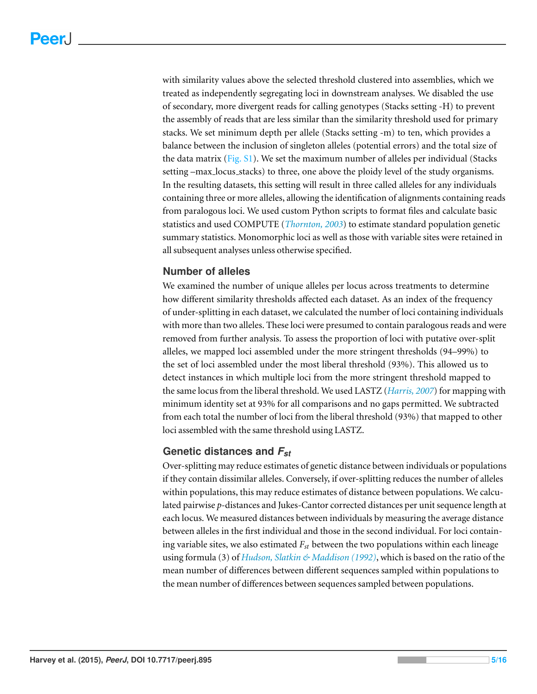with similarity values above the selected threshold clustered into assemblies, which we treated as independently segregating loci in downstream analyses. We disabled the use of secondary, more divergent reads for calling genotypes (Stacks setting -H) to prevent the assembly of reads that are less similar than the similarity threshold used for primary stacks. We set minimum depth per allele (Stacks setting -m) to ten, which provides a balance between the inclusion of singleton alleles (potential errors) and the total size of the data matrix [\(Fig.](http://dx.doi.org/10.7717/peerj.895/supp-1) [S1\)](http://dx.doi.org/10.7717/peerj.895/supp-1). We set the maximum number of alleles per individual (Stacks setting –max locus stacks) to three, one above the ploidy level of the study organisms. In the resulting datasets, this setting will result in three called alleles for any individuals containing three or more alleles, allowing the identification of alignments containing reads from paralogous loci. We used custom Python scripts to format files and calculate basic statistics and used COMPUTE (*[Thornton,](#page-17-6) [2003](#page-17-6)*) to estimate standard population genetic summary statistics. Monomorphic loci as well as those with variable sites were retained in all subsequent analyses unless otherwise specified.

#### **Number of alleles**

We examined the number of unique alleles per locus across treatments to determine how different similarity thresholds affected each dataset. As an index of the frequency of under-splitting in each dataset, we calculated the number of loci containing individuals with more than two alleles. These loci were presumed to contain paralogous reads and were removed from further analysis. To assess the proportion of loci with putative over-split alleles, we mapped loci assembled under the more stringent thresholds (94–99%) to the set of loci assembled under the most liberal threshold (93%). This allowed us to detect instances in which multiple loci from the more stringent threshold mapped to the same locus from the liberal threshold. We used LASTZ (*[Harris,](#page-15-5) [2007](#page-15-5)*) for mapping with minimum identity set at 93% for all comparisons and no gaps permitted. We subtracted from each total the number of loci from the liberal threshold (93%) that mapped to other loci assembled with the same threshold using LASTZ.

#### **Genetic distances and** *Fst*

Over-splitting may reduce estimates of genetic distance between individuals or populations if they contain dissimilar alleles. Conversely, if over-splitting reduces the number of alleles within populations, this may reduce estimates of distance between populations. We calculated pairwise *p*-distances and Jukes-Cantor corrected distances per unit sequence length at each locus. We measured distances between individuals by measuring the average distance between alleles in the first individual and those in the second individual. For loci containing variable sites, we also estimated  $F_{st}$  between the two populations within each lineage using formula (3) of *[Hudson,](#page-15-6) [Slatkin](#page-15-6) [&](#page-15-6) [Maddison](#page-15-6) [\(1992\)](#page-15-6)*, which is based on the ratio of the mean number of differences between different sequences sampled within populations to the mean number of differences between sequences sampled between populations.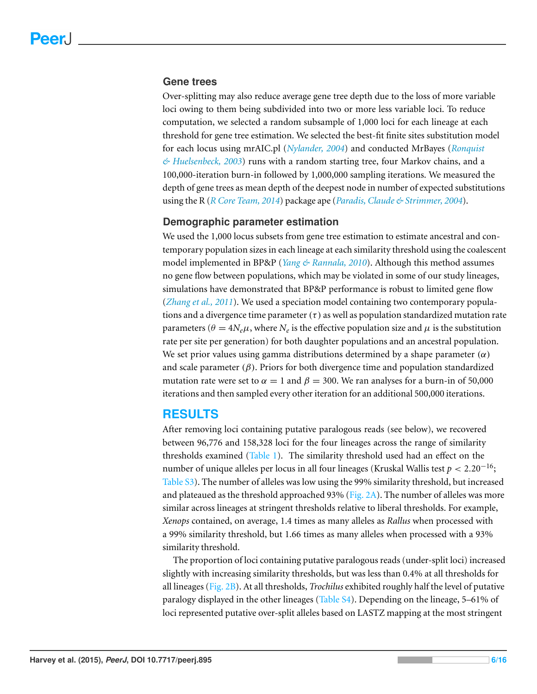#### **Gene trees**

Over-splitting may also reduce average gene tree depth due to the loss of more variable loci owing to them being subdivided into two or more less variable loci. To reduce computation, we selected a random subsample of 1,000 loci for each lineage at each threshold for gene tree estimation. We selected the best-fit finite sites substitution model for each locus using mrAIC.pl (*[Nylander,](#page-16-10) [2004](#page-16-10)*) and conducted MrBayes (*[Ronquist](#page-17-7) [&](#page-17-7) [Huelsenbeck,](#page-17-7) [2003](#page-17-7)*) runs with a random starting tree, four Markov chains, and a 100,000-iteration burn-in followed by 1,000,000 sampling iterations. We measured the depth of gene trees as mean depth of the deepest node in number of expected substitutions using the R (*[R](#page-16-11) [Core](#page-16-11) [Team,](#page-16-11) [2014](#page-16-11)*) package ape (*[Paradis,](#page-16-12) [Claude](#page-16-12) [&](#page-16-12) [Strimmer,](#page-16-12) [2004](#page-16-12)*).

#### **Demographic parameter estimation**

We used the 1,000 locus subsets from gene tree estimation to estimate ancestral and contemporary population sizes in each lineage at each similarity threshold using the coalescent model implemented in BP&P (*[Yang](#page-17-8) [&](#page-17-8) [Rannala,](#page-17-8) [2010](#page-17-8)*). Although this method assumes no gene flow between populations, which may be violated in some of our study lineages, simulations have demonstrated that BP&P performance is robust to limited gene flow (*[Zhang](#page-17-9) [et](#page-17-9) [al.,](#page-17-9) [2011](#page-17-9)*). We used a speciation model containing two contemporary populations and a divergence time parameter  $(\tau)$  as well as population standardized mutation rate parameters ( $\theta = 4N_e\mu$ , where  $N_e$  is the effective population size and  $\mu$  is the substitution rate per site per generation) for both daughter populations and an ancestral population. We set prior values using gamma distributions determined by a shape parameter  $(\alpha)$ and scale parameter  $(\beta)$ . Priors for both divergence time and population standardized mutation rate were set to  $\alpha = 1$  and  $\beta = 300$ . We ran analyses for a burn-in of 50,000 iterations and then sampled every other iteration for an additional 500,000 iterations.

# **RESULTS**

After removing loci containing putative paralogous reads (see below), we recovered between 96,776 and 158,328 loci for the four lineages across the range of similarity thresholds examined  $(Table 1)$ . The similarity threshold used had an effect on the number of unique alleles per locus in all four lineages (Kruskal Wallis test  $p < 2.20^{-16}$ ; [Table](http://dx.doi.org/10.7717/peerj.895/supp-7) [S3\)](http://dx.doi.org/10.7717/peerj.895/supp-7). The number of alleles was low using the 99% similarity threshold, but increased and plateaued as the threshold approached 93% [\(Fig. 2A\)](#page-9-0). The number of alleles was more similar across lineages at stringent thresholds relative to liberal thresholds. For example, *Xenops* contained, on average, 1.4 times as many alleles as *Rallus* when processed with a 99% similarity threshold, but 1.66 times as many alleles when processed with a 93% similarity threshold.

The proportion of loci containing putative paralogous reads (under-split loci) increased slightly with increasing similarity thresholds, but was less than 0.4% at all thresholds for all lineages [\(Fig. 2B\)](#page-9-0). At all thresholds, *Trochilus* exhibited roughly half the level of putative paralogy displayed in the other lineages [\(Table](http://dx.doi.org/10.7717/peerj.895/supp-8) [S4\)](http://dx.doi.org/10.7717/peerj.895/supp-8). Depending on the lineage, 5–61% of loci represented putative over-split alleles based on LASTZ mapping at the most stringent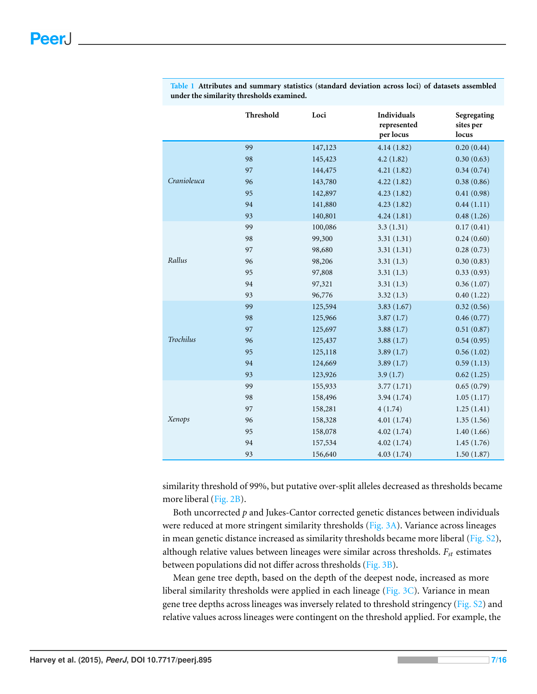|                  | Threshold | Loci    | Individuals<br>represented<br>per locus | Segregating<br>sites per<br>locus |
|------------------|-----------|---------|-----------------------------------------|-----------------------------------|
| Cranioleuca      | 99        | 147,123 | 4.14(1.82)                              | 0.20(0.44)                        |
|                  | 98        | 145,423 | 4.2(1.82)                               | 0.30(0.63)                        |
|                  | 97        | 144,475 | 4.21(1.82)                              | 0.34(0.74)                        |
|                  | 96        | 143,780 | 4.22(1.82)                              | 0.38(0.86)                        |
|                  | 95        | 142,897 | 4.23(1.82)                              | 0.41(0.98)                        |
|                  | 94        | 141,880 | 4.23(1.82)                              | 0.44(1.11)                        |
|                  | 93        | 140,801 | 4.24(1.81)                              | 0.48(1.26)                        |
| Rallus           | 99        | 100,086 | 3.3(1.31)                               | 0.17(0.41)                        |
|                  | 98        | 99,300  | 3.31(1.31)                              | 0.24(0.60)                        |
|                  | 97        | 98,680  | 3.31(1.31)                              | 0.28(0.73)                        |
|                  | 96        | 98,206  | 3.31(1.3)                               | 0.30(0.83)                        |
|                  | 95        | 97,808  | 3.31(1.3)                               | 0.33(0.93)                        |
|                  | 94        | 97,321  | 3.31(1.3)                               | 0.36(1.07)                        |
|                  | 93        | 96,776  | 3.32(1.3)                               | 0.40(1.22)                        |
| <b>Trochilus</b> | 99        | 125,594 | 3.83(1.67)                              | 0.32(0.56)                        |
|                  | 98        | 125,966 | 3.87(1.7)                               | 0.46(0.77)                        |
|                  | 97        | 125,697 | 3.88(1.7)                               | 0.51(0.87)                        |
|                  | 96        | 125,437 | 3.88(1.7)                               | 0.54(0.95)                        |
|                  | 95        | 125,118 | 3.89(1.7)                               | 0.56(1.02)                        |
|                  | 94        | 124,669 | 3.89(1.7)                               | 0.59(1.13)                        |
|                  | 93        | 123,926 | 3.9(1.7)                                | 0.62(1.25)                        |
| Xenops           | 99        | 155,933 | 3.77(1.71)                              | 0.65(0.79)                        |
|                  | 98        | 158,496 | 3.94(1.74)                              | 1.05(1.17)                        |
|                  | 97        | 158,281 | 4(1.74)                                 | 1.25(1.41)                        |
|                  | 96        | 158,328 | 4.01(1.74)                              | 1.35(1.56)                        |
|                  | 95        | 158,078 | 4.02(1.74)                              | 1.40(1.66)                        |
|                  | 94        | 157,534 | 4.02(1.74)                              | 1.45(1.76)                        |
|                  | 93        | 156,640 | 4.03(1.74)                              | 1.50(1.87)                        |

<span id="page-8-0"></span>**Table 1 Attributes and summary statistics (standard deviation across loci) of datasets assembled under the similarity thresholds examined.**

similarity threshold of 99%, but putative over-split alleles decreased as thresholds became more liberal [\(Fig. 2B\)](#page-9-0).

Both uncorrected *p* and Jukes-Cantor corrected genetic distances between individuals were reduced at more stringent similarity thresholds [\(Fig. 3A\)](#page-10-0). Variance across lineages in mean genetic distance increased as similarity thresholds became more liberal [\(Fig.](http://dx.doi.org/10.7717/peerj.895/supp-2)  $S2$ ), although relative values between lineages were similar across thresholds. *Fst* estimates between populations did not differ across thresholds [\(Fig. 3B\)](#page-10-0).

Mean gene tree depth, based on the depth of the deepest node, increased as more liberal similarity thresholds were applied in each lineage [\(Fig. 3C\)](#page-10-0). Variance in mean gene tree depths across lineages was inversely related to threshold stringency [\(Fig.](http://dx.doi.org/10.7717/peerj.895/supp-2) [S2\)](http://dx.doi.org/10.7717/peerj.895/supp-2) and relative values across lineages were contingent on the threshold applied. For example, the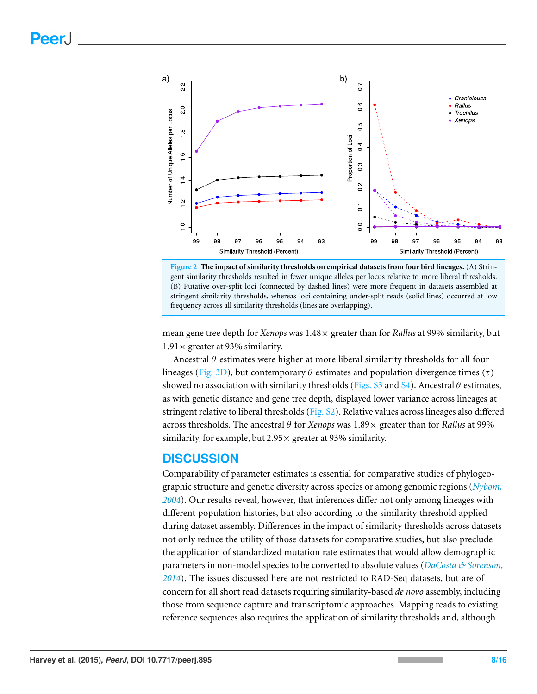<span id="page-9-0"></span>



mean gene tree depth for *Xenops* was 1.48× greater than for *Rallus* at 99% similarity, but  $1.91 \times$  greater at 93% similarity.

Ancestral  $\theta$  estimates were higher at more liberal similarity thresholds for all four lineages [\(Fig. 3D\)](#page-10-0), but contemporary  $\theta$  estimates and population divergence times (τ) showed no association with similarity thresholds [\(Figs.](http://dx.doi.org/10.7717/peerj.895/supp-3) [S3](http://dx.doi.org/10.7717/peerj.895/supp-3) and [S4\)](http://dx.doi.org/10.7717/peerj.895/supp-4). Ancestral  $\theta$  estimates, as with genetic distance and gene tree depth, displayed lower variance across lineages at stringent relative to liberal thresholds [\(Fig.](http://dx.doi.org/10.7717/peerj.895/supp-2) [S2\)](http://dx.doi.org/10.7717/peerj.895/supp-2). Relative values across lineages also differed across thresholds. The ancestral θ for *Xenops* was 1.89× greater than for *Rallus* at 99% similarity, for example, but  $2.95 \times$  greater at 93% similarity.

# **DISCUSSION**

Comparability of parameter estimates is essential for comparative studies of phylogeographic structure and genetic diversity across species or among genomic regions (*[Nybom,](#page-16-13) [2004](#page-16-13)*). Our results reveal, however, that inferences differ not only among lineages with different population histories, but also according to the similarity threshold applied during dataset assembly. Differences in the impact of similarity thresholds across datasets not only reduce the utility of those datasets for comparative studies, but also preclude the application of standardized mutation rate estimates that would allow demographic parameters in non-model species to be converted to absolute values (*[DaCosta](#page-14-8) [&](#page-14-8) [Sorenson,](#page-14-8) [2014](#page-14-8)*). The issues discussed here are not restricted to RAD-Seq datasets, but are of concern for all short read datasets requiring similarity-based *de novo* assembly, including those from sequence capture and transcriptomic approaches. Mapping reads to existing reference sequences also requires the application of similarity thresholds and, although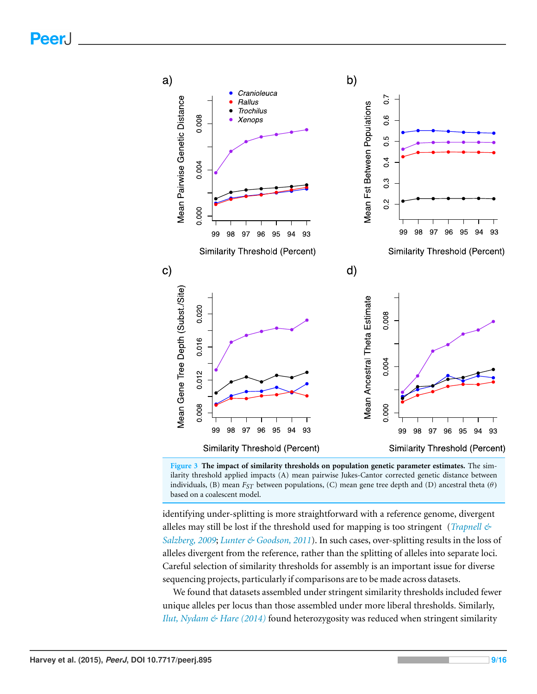<span id="page-10-0"></span>

**Figure 3 The impact of similarity thresholds on population genetic parameter estimates.** The similarity threshold applied impacts (A) mean pairwise Jukes-Cantor corrected genetic distance between individuals, (B) mean  $F_{ST}$  between populations, (C) mean gene tree depth and (D) ancestral theta ( $\theta$ ) based on a coalescent model.

identifying under-splitting is more straightforward with a reference genome, divergent alleles may still be lost if the threshold used for mapping is too stringent (*[Trapnell](#page-17-10) [&](#page-17-10) [Salzberg,](#page-17-10) [2009](#page-17-10)*; *[Lunter](#page-16-14) [&](#page-16-14) [Goodson,](#page-16-14) [2011](#page-16-14)*). In such cases, over-splitting results in the loss of alleles divergent from the reference, rather than the splitting of alleles into separate loci. Careful selection of similarity thresholds for assembly is an important issue for diverse sequencing projects, particularly if comparisons are to be made across datasets.

We found that datasets assembled under stringent similarity thresholds included fewer unique alleles per locus than those assembled under more liberal thresholds. Similarly, *[Ilut,](#page-16-2) [Nydam](#page-16-2) [&](#page-16-2) [Hare](#page-16-2) [\(2014\)](#page-16-2)* found heterozygosity was reduced when stringent similarity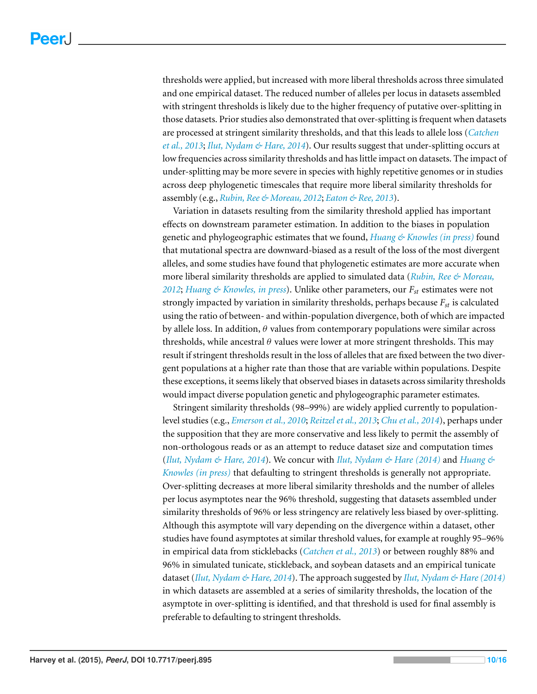thresholds were applied, but increased with more liberal thresholds across three simulated and one empirical dataset. The reduced number of alleles per locus in datasets assembled with stringent thresholds is likely due to the higher frequency of putative over-splitting in those datasets. Prior studies also demonstrated that over-splitting is frequent when datasets are processed at stringent similarity thresholds, and that this leads to allele loss (*[Catchen](#page-14-3) [et](#page-14-3) [al.,](#page-14-3) [2013](#page-14-3)*; *[Ilut,](#page-16-2) [Nydam](#page-16-2) [&](#page-16-2) [Hare,](#page-16-2) [2014](#page-16-2)*). Our results suggest that under-splitting occurs at low frequencies across similarity thresholds and has little impact on datasets. The impact of under-splitting may be more severe in species with highly repetitive genomes or in studies across deep phylogenetic timescales that require more liberal similarity thresholds for assembly (e.g., *[Rubin,](#page-17-1) [Ree](#page-17-1) [&](#page-17-1) [Moreau,](#page-17-1) [2012](#page-17-1)*; *[Eaton](#page-14-9) [&](#page-14-9) [Ree,](#page-14-9) [2013](#page-14-9)*).

Variation in datasets resulting from the similarity threshold applied has important effects on downstream parameter estimation. In addition to the biases in population genetic and phylogeographic estimates that we found, *[Huang](#page-15-2) [&](#page-15-2) [Knowles](#page-15-2) [\(in](#page-15-2) [press\)](#page-15-2)* found that mutational spectra are downward-biased as a result of the loss of the most divergent alleles, and some studies have found that phylogenetic estimates are more accurate when more liberal similarity thresholds are applied to simulated data (*[Rubin,](#page-17-1) [Ree](#page-17-1) [&](#page-17-1) [Moreau,](#page-17-1) [2012](#page-17-1)*; *[Huang](#page-15-2) [&](#page-15-2) [Knowles,](#page-15-2) [in](#page-15-2) [press](#page-15-2)*). Unlike other parameters, our *Fst* estimates were not strongly impacted by variation in similarity thresholds, perhaps because *Fst* is calculated using the ratio of between- and within-population divergence, both of which are impacted by allele loss. In addition,  $\theta$  values from contemporary populations were similar across thresholds, while ancestral  $\theta$  values were lower at more stringent thresholds. This may result if stringent thresholds result in the loss of alleles that are fixed between the two divergent populations at a higher rate than those that are variable within populations. Despite these exceptions, it seems likely that observed biases in datasets across similarity thresholds would impact diverse population genetic and phylogeographic parameter estimates.

Stringent similarity thresholds (98–99%) are widely applied currently to populationlevel studies (e.g., *[Emerson](#page-14-10) [et](#page-14-10) [al.,](#page-14-10) [2010](#page-14-10)*; *[Reitzel](#page-16-15) [et](#page-16-15) [al.,](#page-16-15) [2013](#page-16-15)*; *[Chu](#page-14-11) [et](#page-14-11) [al.,](#page-14-11) [2014](#page-14-11)*), perhaps under the supposition that they are more conservative and less likely to permit the assembly of non-orthologous reads or as an attempt to reduce dataset size and computation times (*[Ilut,](#page-16-2) [Nydam](#page-16-2) [&](#page-15-2) [Hare,](#page-16-2) [2014](#page-16-2)*). We concur with *Ilut, Nydam & [Hare](#page-16-2)* [\(2014\)](#page-16-2) and *[Huang](#page-15-2)*  $\&$ *[Knowles](#page-15-2) [\(in](#page-15-2) [press\)](#page-15-2)* that defaulting to stringent thresholds is generally not appropriate. Over-splitting decreases at more liberal similarity thresholds and the number of alleles per locus asymptotes near the 96% threshold, suggesting that datasets assembled under similarity thresholds of 96% or less stringency are relatively less biased by over-splitting. Although this asymptote will vary depending on the divergence within a dataset, other studies have found asymptotes at similar threshold values, for example at roughly 95–96% in empirical data from sticklebacks (*[Catchen](#page-14-3) [et](#page-14-3) [al.,](#page-14-3) [2013](#page-14-3)*) or between roughly 88% and 96% in simulated tunicate, stickleback, and soybean datasets and an empirical tunicate dataset (*[Ilut,](#page-16-2) [Nydam](#page-16-2) [&](#page-16-2) [Hare,](#page-16-2) [2014](#page-16-2)*). The approach suggested by *[Ilut,](#page-16-2) [Nydam](#page-16-2) [&](#page-16-2) [Hare\(2014\)](#page-16-2)* in which datasets are assembled at a series of similarity thresholds, the location of the asymptote in over-splitting is identified, and that threshold is used for final assembly is preferable to defaulting to stringent thresholds.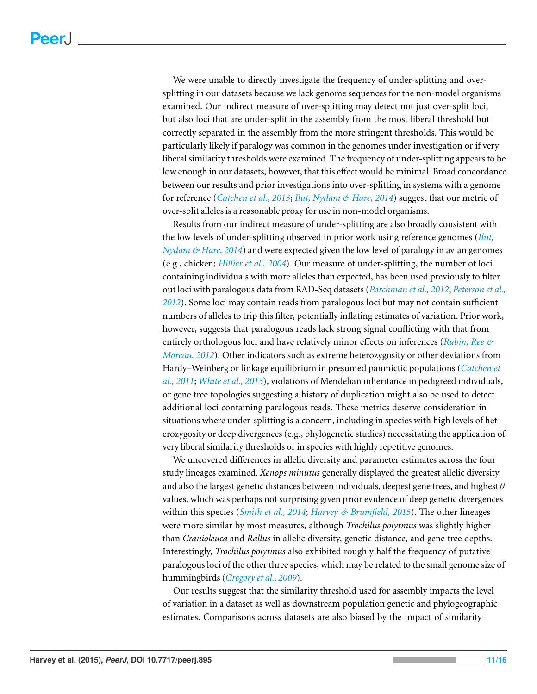We were unable to directly investigate the frequency of under-splitting and oversplitting in our datasets because we lack genome sequences for the non-model organisms examined. Our indirect measure of over-splitting may detect not just over-split loci, but also loci that are under-split in the assembly from the most liberal threshold but correctly separated in the assembly from the more stringent thresholds. This would be particularly likely if paralogy was common in the genomes under investigation or if very liberal similarity thresholds were examined. The frequency of under-splitting appears to be low enough in our datasets, however, that this effect would be minimal. Broad concordance between our results and prior investigations into over-splitting in systems with a genome for reference (*[Catchen](#page-14-3) [et](#page-14-3) [al.,](#page-14-3) [2013](#page-14-3)*; *[Ilut,](#page-16-2) [Nydam](#page-16-2) [&](#page-16-2) [Hare,](#page-16-2) [2014](#page-16-2)*) suggest that our metric of over-split alleles is a reasonable proxy for use in non-model organisms.

Results from our indirect measure of under-splitting are also broadly consistent with the low levels of under-splitting observed in prior work using reference genomes (*[Ilut,](#page-16-2) [Nydam](#page-16-2) [&](#page-16-2) [Hare,](#page-16-2) [2014](#page-16-2)*) and were expected given the low level of paralogy in avian genomes (e.g., chicken; *[Hillier](#page-15-7) [et](#page-15-7) [al.,](#page-15-7) [2004](#page-15-7)*). Our measure of under-splitting, the number of loci containing individuals with more alleles than expected, has been used previously to filter out loci with paralogous data from RAD-Seq datasets (*[Parchman](#page-16-16) [et](#page-16-16) [al.,](#page-16-16) [2012](#page-16-16)*; *[Peterson](#page-16-17) [et](#page-16-17) [al.,](#page-16-17) [2012](#page-16-17)*). Some loci may contain reads from paralogous loci but may not contain sufficient numbers of alleles to trip this filter, potentially inflating estimates of variation. Prior work, however, suggests that paralogous reads lack strong signal conflicting with that from entirely orthologous loci and have relatively minor effects on inferences (*[Rubin,](#page-17-1) [Ree](#page-17-1) [&](#page-17-1) [Moreau,](#page-17-1) [2012](#page-17-1)*). Other indicators such as extreme heterozygosity or other deviations from Hardy–Weinberg or linkage equilibrium in presumed panmictic populations (*[Catchen](#page-14-2) [et](#page-14-2) [al.,](#page-14-2) [2011](#page-14-2)*; *[White](#page-17-11) [et](#page-17-11) [al.,](#page-17-11) [2013](#page-17-11)*), violations of Mendelian inheritance in pedigreed individuals, or gene tree topologies suggesting a history of duplication might also be used to detect additional loci containing paralogous reads. These metrics deserve consideration in situations where under-splitting is a concern, including in species with high levels of heterozygosity or deep divergences (e.g., phylogenetic studies) necessitating the application of very liberal similarity thresholds or in species with highly repetitive genomes.

We uncovered differences in allelic diversity and parameter estimates across the four study lineages examined. *Xenops minutus* generally displayed the greatest allelic diversity and also the largest genetic distances between individuals, deepest gene trees, and highest  $\theta$ values, which was perhaps not surprising given prior evidence of deep genetic divergences within this species (*[Smith](#page-17-3) [et](#page-17-3) [al.,](#page-17-3) [2014](#page-17-3)*; *[Harvey](#page-15-4) [&](#page-15-4) [Brumfield,](#page-15-4) [2015](#page-15-4)*). The other lineages were more similar by most measures, although *Trochilus polytmus* was slightly higher than *Cranioleuca* and *Rallus* in allelic diversity, genetic distance, and gene tree depths. Interestingly, *Trochilus polytmus* also exhibited roughly half the frequency of putative paralogous loci of the other three species, which may be related to the small genome size of hummingbirds (*[Gregory](#page-15-8) [et](#page-15-8) [al.,](#page-15-8) [2009](#page-15-8)*).

Our results suggest that the similarity threshold used for assembly impacts the level of variation in a dataset as well as downstream population genetic and phylogeographic estimates. Comparisons across datasets are also biased by the impact of similarity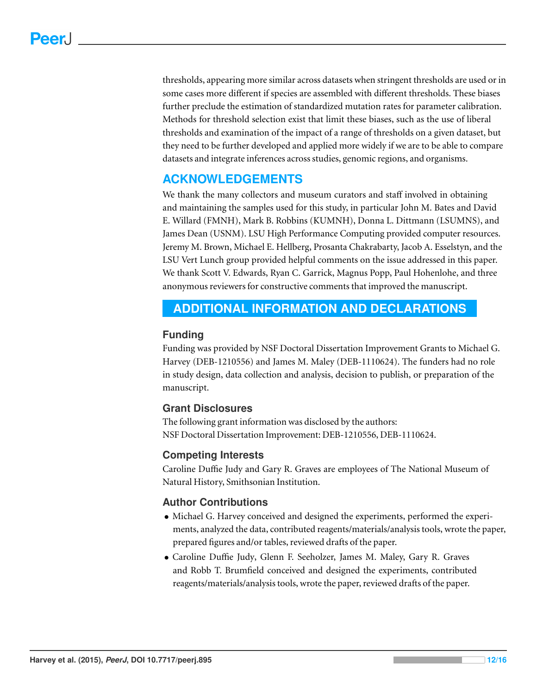thresholds, appearing more similar across datasets when stringent thresholds are used or in some cases more different if species are assembled with different thresholds. These biases further preclude the estimation of standardized mutation rates for parameter calibration. Methods for threshold selection exist that limit these biases, such as the use of liberal thresholds and examination of the impact of a range of thresholds on a given dataset, but they need to be further developed and applied more widely if we are to be able to compare datasets and integrate inferences across studies, genomic regions, and organisms.

# **ACKNOWLEDGEMENTS**

We thank the many collectors and museum curators and staff involved in obtaining and maintaining the samples used for this study, in particular John M. Bates and David E. Willard (FMNH), Mark B. Robbins (KUMNH), Donna L. Dittmann (LSUMNS), and James Dean (USNM). LSU High Performance Computing provided computer resources. Jeremy M. Brown, Michael E. Hellberg, Prosanta Chakrabarty, Jacob A. Esselstyn, and the LSU Vert Lunch group provided helpful comments on the issue addressed in this paper. We thank Scott V. Edwards, Ryan C. Garrick, Magnus Popp, Paul Hohenlohe, and three anonymous reviewers for constructive comments that improved the manuscript.

# <span id="page-13-0"></span>**ADDITIONAL INFORMATION AND DECLARATIONS**

# **Funding**

Funding was provided by NSF Doctoral Dissertation Improvement Grants to Michael G. Harvey (DEB-1210556) and James M. Maley (DEB-1110624). The funders had no role in study design, data collection and analysis, decision to publish, or preparation of the manuscript.

# **Grant Disclosures**

The following grant information was disclosed by the authors: NSF Doctoral Dissertation Improvement: DEB-1210556, DEB-1110624.

# **Competing Interests**

Caroline Duffie Judy and Gary R. Graves are employees of The National Museum of Natural History, Smithsonian Institution.

# **Author Contributions**

- Michael G. Harvey conceived and designed the experiments, performed the experiments, analyzed the data, contributed reagents/materials/analysis tools, wrote the paper, prepared figures and/or tables, reviewed drafts of the paper.
- Caroline Duffie Judy, Glenn F. Seeholzer, James M. Maley, Gary R. Graves and Robb T. Brumfield conceived and designed the experiments, contributed reagents/materials/analysis tools, wrote the paper, reviewed drafts of the paper.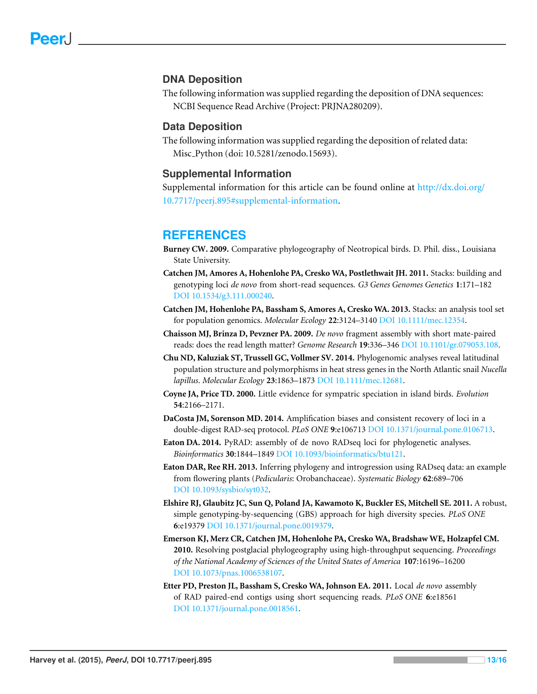#### **DNA Deposition**

The following information was supplied regarding the deposition of DNA sequences: NCBI Sequence Read Archive (Project: PRJNA280209).

#### **Data Deposition**

The following information was supplied regarding the deposition of related data: Misc Python (doi: 10.5281/zenodo.15693).

#### **Supplemental Information**

Supplemental information for this article can be found online at [http://dx.doi.org/](http://dx.doi.org/10.7717/peerj.895#supplemental-information) [10.7717/peerj.895#supplemental-information.](http://dx.doi.org/10.7717/peerj.895#supplemental-information)

# **REFERENCES**

- <span id="page-14-5"></span>**Burney CW. 2009.** Comparative phylogeography of Neotropical birds. D. Phil. diss., Louisiana State University.
- <span id="page-14-2"></span>**Catchen JM, Amores A, Hohenlohe PA, Cresko WA, Postlethwait JH. 2011.** Stacks: building and genotyping loci *de novo* from short-read sequences. *G3 Genes Genomes Genetics* **1**:171–182 DOI [10.1534/g3.111.000240.](http://dx.doi.org/10.1534/g3.111.000240)
- <span id="page-14-3"></span>**Catchen JM, Hohenlohe PA, Bassham S, Amores A, Cresko WA. 2013.** Stacks: an analysis tool set for population genomics. *Molecular Ecology* **22**:3124–3140 DOI [10.1111/mec.12354.](http://dx.doi.org/10.1111/mec.12354)
- <span id="page-14-0"></span>**Chaisson MJ, Brinza D, Pevzner PA. 2009.** *De novo* fragment assembly with short mate-paired reads: does the read length matter? *Genome Research* **19**:336–346 DOI [10.1101/gr.079053.108.](http://dx.doi.org/10.1101/gr.079053.108)
- <span id="page-14-11"></span>**Chu ND, Kaluziak ST, Trussell GC, Vollmer SV. 2014.** Phylogenomic analyses reveal latitudinal population structure and polymorphisms in heat stress genes in the North Atlantic snail *Nucella lapillus*. *Molecular Ecology* **23**:1863–1873 DOI [10.1111/mec.12681.](http://dx.doi.org/10.1111/mec.12681)
- <span id="page-14-4"></span>**Coyne JA, Price TD. 2000.** Little evidence for sympatric speciation in island birds. *Evolution* **54**:2166–2171.
- <span id="page-14-8"></span>**DaCosta JM, Sorenson MD. 2014.** Amplification biases and consistent recovery of loci in a double-digest RAD-seq protocol. *PLoS ONE* **9**:e106713 DOI [10.1371/journal.pone.0106713.](http://dx.doi.org/10.1371/journal.pone.0106713)
- <span id="page-14-7"></span>**Eaton DA. 2014.** PyRAD: assembly of de novo RADseq loci for phylogenetic analyses. *Bioinformatics* **30**:1844–1849 DOI [10.1093/bioinformatics/btu121.](http://dx.doi.org/10.1093/bioinformatics/btu121)
- <span id="page-14-9"></span>**Eaton DAR, Ree RH. 2013.** Inferring phylogeny and introgression using RADseq data: an example from flowering plants (*Pedicularis*: Orobanchaceae). *Systematic Biology* **62**:689–706 DOI [10.1093/sysbio/syt032.](http://dx.doi.org/10.1093/sysbio/syt032)
- <span id="page-14-6"></span>**Elshire RJ, Glaubitz JC, Sun Q, Poland JA, Kawamoto K, Buckler ES, Mitchell SE. 2011.** A robust, simple genotyping-by-sequencing (GBS) approach for high diversity species. *PLoS ONE* **6**:e19379 DOI [10.1371/journal.pone.0019379.](http://dx.doi.org/10.1371/journal.pone.0019379)
- <span id="page-14-10"></span>**Emerson KJ, Merz CR, Catchen JM, Hohenlohe PA, Cresko WA, Bradshaw WE, Holzapfel CM. 2010.** Resolving postglacial phylogeography using high-throughput sequencing. *Proceedings of the National Academy of Sciences of the United States of America* **107**:16196–16200 DOI [10.1073/pnas.1006538107.](http://dx.doi.org/10.1073/pnas.1006538107)
- <span id="page-14-1"></span>**Etter PD, Preston JL, Bassham S, Cresko WA, Johnson EA. 2011.** Local *de novo* assembly of RAD paired-end contigs using short sequencing reads. *PLoS ONE* **6**:e18561 DOI [10.1371/journal.pone.0018561.](http://dx.doi.org/10.1371/journal.pone.0018561)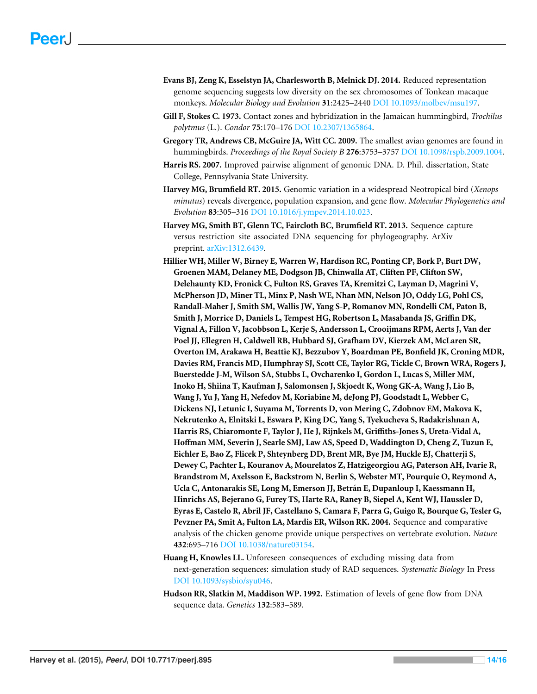- <span id="page-15-0"></span>**Evans BJ, Zeng K, Esselstyn JA, Charlesworth B, Melnick DJ. 2014.** Reduced representation genome sequencing suggests low diversity on the sex chromosomes of Tonkean macaque monkeys. *Molecular Biology and Evolution* **31**:2425–2440 DOI [10.1093/molbev/msu197.](http://dx.doi.org/10.1093/molbev/msu197)
- <span id="page-15-3"></span>**Gill F, Stokes C. 1973.** Contact zones and hybridization in the Jamaican hummingbird, *Trochilus polytmus* (L.). *Condor* **75**:170–176 DOI [10.2307/1365864.](http://dx.doi.org/10.2307/1365864)
- <span id="page-15-8"></span>**Gregory TR, Andrews CB, McGuire JA, Witt CC. 2009.** The smallest avian genomes are found in hummingbirds. *Proceedings of the Royal Society B* **276**:3753–3757 DOI [10.1098/rspb.2009.1004.](http://dx.doi.org/10.1098/rspb.2009.1004)
- <span id="page-15-5"></span>**Harris RS. 2007.** Improved pairwise alignment of genomic DNA. D. Phil. dissertation, State College, Pennsylvania State University.
- <span id="page-15-4"></span>**Harvey MG, Brumfield RT. 2015.** Genomic variation in a widespread Neotropical bird (*Xenops minutus*) reveals divergence, population expansion, and gene flow. *Molecular Phylogenetics and Evolution* **83**:305–316 DOI [10.1016/j.ympev.2014.10.023.](http://dx.doi.org/10.1016/j.ympev.2014.10.023)
- <span id="page-15-1"></span>**Harvey MG, Smith BT, Glenn TC, Faircloth BC, Brumfield RT. 2013.** Sequence capture versus restriction site associated DNA sequencing for phylogeography. ArXiv preprint. [arXiv:1312.6439.](http://arxiv.org/abs/1312.6439)
- <span id="page-15-7"></span>**Hillier WH, Miller W, Birney E, Warren W, Hardison RC, Ponting CP, Bork P, Burt DW, Groenen MAM, Delaney ME, Dodgson JB, Chinwalla AT, Cliften PF, Clifton SW, Delehaunty KD, Fronick C, Fulton RS, Graves TA, Kremitzi C, Layman D, Magrini V, McPherson JD, Miner TL, Minx P, Nash WE, Nhan MN, Nelson JO, Oddy LG, Pohl CS, Randall-Maher J, Smith SM, Wallis JW, Yang S-P, Romanov MN, Rondelli CM, Paton B, Smith J, Morrice D, Daniels L, Tempest HG, Robertson L, Masabanda JS, Griffin DK, Vignal A, Fillon V, Jacobbson L, Kerje S, Andersson L, Crooijmans RPM, Aerts J, Van der Poel JJ, Ellegren H, Caldwell RB, Hubbard SJ, Grafham DV, Kierzek AM, McLaren SR, Overton IM, Arakawa H, Beattie KJ, Bezzubov Y, Boardman PE, Bonfield JK, Croning MDR, Davies RM, Francis MD, Humphray SJ, Scott CE, Taylor RG, Tickle C, Brown WRA, Rogers J, Buerstedde J-M, Wilson SA, Stubbs L, Ovcharenko I, Gordon L, Lucas S, Miller MM, Inoko H, Shiina T, Kaufman J, Salomonsen J, Skjoedt K, Wong GK-A, Wang J, Lio B, Wang J, Yu J, Yang H, Nefedov M, Koriabine M, deJong PJ, Goodstadt L, Webber C, Dickens NJ, Letunic I, Suyama M, Torrents D, von Mering C, Zdobnov EM, Makova K, Nekrutenko A, Elnitski L, Eswara P, King DC, Yang S, Tyekucheva S, Radakrishnan A, Harris RS, Chiaromonte F, Taylor J, He J, Rijnkels M, Griffiths-Jones S, Ureta-Vidal A, Hoffman MM, Severin J, Searle SMJ, Law AS, Speed D, Waddington D, Cheng Z, Tuzun E, Eichler E, Bao Z, Flicek P, Shteynberg DD, Brent MR, Bye JM, Huckle EJ, Chatterji S, Dewey C, Pachter L, Kouranov A, Mourelatos Z, Hatzigeorgiou AG, Paterson AH, Ivarie R, Brandstrom M, Axelsson E, Backstrom N, Berlin S, Webster MT, Pourquie O, Reymond A, Ucla C, Antonarakis SE, Long M, Emerson JJ, Betran E, Dupanloup I, Kaessmann H, ´ Hinrichs AS, Bejerano G, Furey TS, Harte RA, Raney B, Siepel A, Kent WJ, Haussler D, Eyras E, Castelo R, Abril JF, Castellano S, Camara F, Parra G, Guigo R, Bourque G, Tesler G, Pevzner PA, Smit A, Fulton LA, Mardis ER, Wilson RK. 2004.** Sequence and comparative analysis of the chicken genome provide unique perspectives on vertebrate evolution. *Nature* **432**:695–716 DOI [10.1038/nature03154.](http://dx.doi.org/10.1038/nature03154)
- <span id="page-15-2"></span>**Huang H, Knowles LL.** Unforeseen consequences of excluding missing data from next-generation sequences: simulation study of RAD sequences. *Systematic Biology* In Press DOI [10.1093/sysbio/syu046.](http://dx.doi.org/10.1093/sysbio/syu046)
- <span id="page-15-6"></span>**Hudson RR, Slatkin M, Maddison WP. 1992.** Estimation of levels of gene flow from DNA sequence data. *Genetics* **132**:583–589.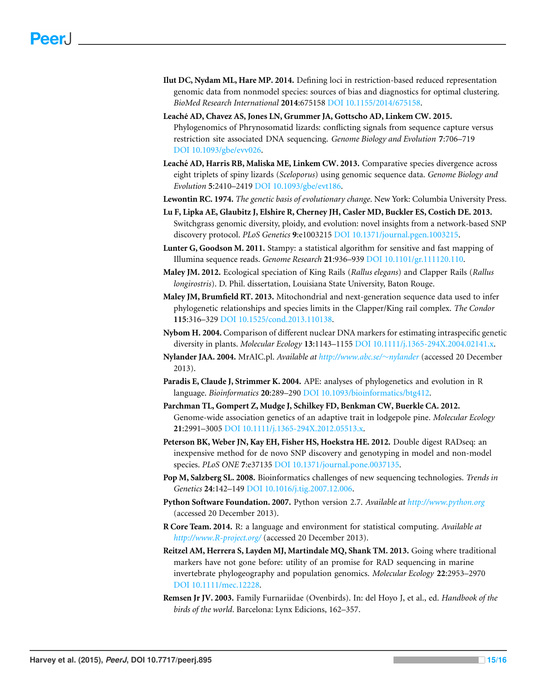- <span id="page-16-2"></span>**Ilut DC, Nydam ML, Hare MP. 2014.** Defining loci in restriction-based reduced representation genomic data from nonmodel species: sources of bias and diagnostics for optimal clustering. *BioMed Research International* **2014**:675158 DOI [10.1155/2014/675158.](http://dx.doi.org/10.1155/2014/675158)
- <span id="page-16-1"></span>**Leache AD, Chavez AS, Jones LN, Grummer JA, Gottscho AD, Linkem CW. 2015. ´** Phylogenomics of Phrynosomatid lizards: conflicting signals from sequence capture versus restriction site associated DNA sequencing. *Genome Biology and Evolution* **7**:706–719 DOI [10.1093/gbe/evv026.](http://dx.doi.org/10.1093/gbe/evv026)
- <span id="page-16-0"></span>**Leache AD, Harris RB, Maliska ME, Linkem CW. 2013. ´** Comparative species divergence across eight triplets of spiny lizards (*Sceloporus*) using genomic sequence data. *Genome Biology and Evolution* **5**:2410–2419 DOI [10.1093/gbe/evt186.](http://dx.doi.org/10.1093/gbe/evt186)
- <span id="page-16-5"></span>**Lewontin RC. 1974.** *The genetic basis of evolutionary change*. New York: Columbia University Press.
- <span id="page-16-4"></span>**Lu F, Lipka AE, Glaubitz J, Elshire R, Cherney JH, Casler MD, Buckler ES, Costich DE. 2013.** Switchgrass genomic diversity, ploidy, and evolution: novel insights from a network-based SNP discovery protocol. *PLoS Genetics* **9**:e1003215 DOI [10.1371/journal.pgen.1003215.](http://dx.doi.org/10.1371/journal.pgen.1003215)
- <span id="page-16-14"></span>**Lunter G, Goodson M. 2011.** Stampy: a statistical algorithm for sensitive and fast mapping of Illumina sequence reads. *Genome Research* **21**:936–939 DOI [10.1101/gr.111120.110.](http://dx.doi.org/10.1101/gr.111120.110)
- <span id="page-16-6"></span>**Maley JM. 2012.** Ecological speciation of King Rails (*Rallus elegans*) and Clapper Rails (*Rallus longirostris*). D. Phil. dissertation, Louisiana State University, Baton Rouge.
- <span id="page-16-7"></span>**Maley JM, Brumfield RT. 2013.** Mitochondrial and next-generation sequence data used to infer phylogenetic relationships and species limits in the Clapper/King rail complex. *The Condor* **115**:316–329 DOI [10.1525/cond.2013.110138.](http://dx.doi.org/10.1525/cond.2013.110138)
- <span id="page-16-13"></span>**Nybom H. 2004.** Comparison of different nuclear DNA markers for estimating intraspecific genetic diversity in plants. *Molecular Ecology* **13**:1143–1155 DOI [10.1111/j.1365-294X.2004.02141.x.](http://dx.doi.org/10.1111/j.1365-294X.2004.02141.x)
- <span id="page-16-10"></span>**Nylander JAA. 2004.** MrAIC.pl. *Available at [http://www.abc.se/](http://www.abc.se/~nylander)*[∼](http://www.abc.se/~nylander)*[nylander](http://www.abc.se/~nylander)* (accessed 20 December 2013).
- <span id="page-16-12"></span>**Paradis E, Claude J, Strimmer K. 2004.** APE: analyses of phylogenetics and evolution in R language. *Bioinformatics* **20**:289–290 DOI [10.1093/bioinformatics/btg412.](http://dx.doi.org/10.1093/bioinformatics/btg412)
- <span id="page-16-16"></span>**Parchman TL, Gompert Z, Mudge J, Schilkey FD, Benkman CW, Buerkle CA. 2012.** Genome-wide association genetics of an adaptive trait in lodgepole pine. *Molecular Ecology* **21**:2991–3005 DOI [10.1111/j.1365-294X.2012.05513.x.](http://dx.doi.org/10.1111/j.1365-294X.2012.05513.x)
- <span id="page-16-17"></span>**Peterson BK, Weber JN, Kay EH, Fisher HS, Hoekstra HE. 2012.** Double digest RADseq: an inexpensive method for de novo SNP discovery and genotyping in model and non-model species. *PLoS ONE* **7**:e37135 DOI [10.1371/journal.pone.0037135.](http://dx.doi.org/10.1371/journal.pone.0037135)
- <span id="page-16-3"></span>**Pop M, Salzberg SL. 2008.** Bioinformatics challenges of new sequencing technologies. *Trends in Genetics* **24**:142–149 DOI [10.1016/j.tig.2007.12.006.](http://dx.doi.org/10.1016/j.tig.2007.12.006)
- <span id="page-16-9"></span>**Python Software Foundation. 2007.** Python version 2.7. *Available at <http://www.python.org>* (accessed 20 December 2013).
- <span id="page-16-11"></span>**R Core Team. 2014.** R: a language and environment for statistical computing. *Available at <http://www.R-project.org/>* (accessed 20 December 2013).
- <span id="page-16-15"></span>**Reitzel AM, Herrera S, Layden MJ, Martindale MQ, Shank TM. 2013.** Going where traditional markers have not gone before: utility of an promise for RAD sequencing in marine invertebrate phylogeography and population genomics. *Molecular Ecology* **22**:2953–2970 DOI [10.1111/mec.12228.](http://dx.doi.org/10.1111/mec.12228)
- <span id="page-16-8"></span>**Remsen Jr JV. 2003.** Family Furnariidae (Ovenbirds). In: del Hoyo J, et al., ed. *Handbook of the birds of the world*. Barcelona: Lynx Edicions, 162–357.